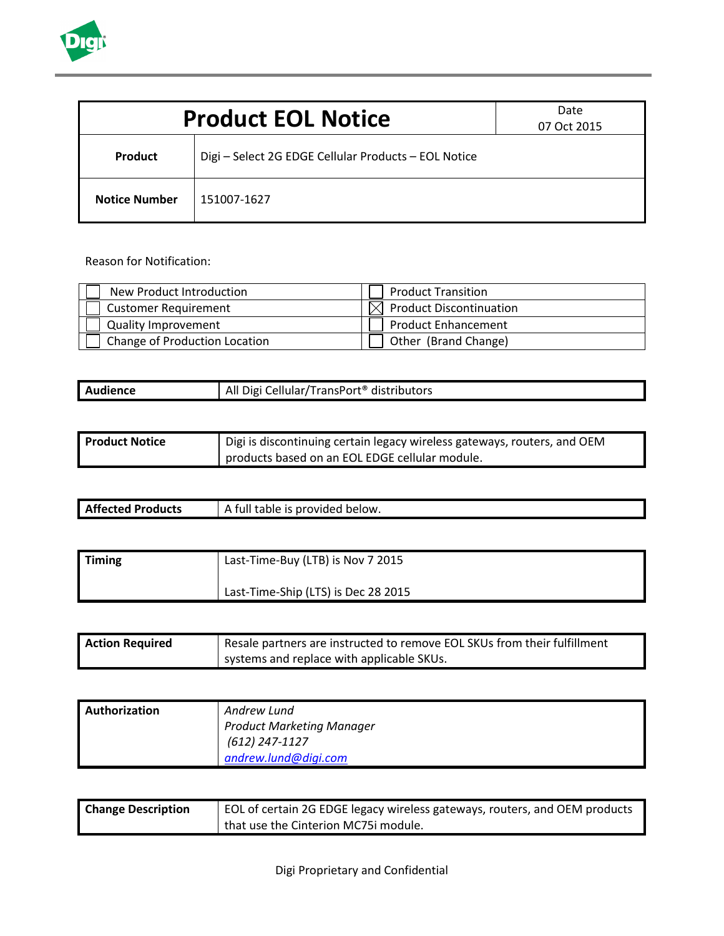

| Date<br><b>Product EOL Notice</b><br>07 Oct 2015 |                                                      |  |
|--------------------------------------------------|------------------------------------------------------|--|
| <b>Product</b>                                   | Digi - Select 2G EDGE Cellular Products - EOL Notice |  |
| <b>Notice Number</b>                             | 151007-1627                                          |  |

Reason for Notification:

| New Product Introduction      | <b>Product Transition</b>               |
|-------------------------------|-----------------------------------------|
| <b>Customer Requirement</b>   | Product Discontinuation<br>$\mathbb{R}$ |
| <b>Quality Improvement</b>    | <b>Product Enhancement</b>              |
| Change of Production Location | Other (Brand Change)                    |

| Audience | All Digi Cellular/TransPort <sup>®</sup> distributors |
|----------|-------------------------------------------------------|

| <b>Product Notice</b> | Digi is discontinuing certain legacy wireless gateways, routers, and OEM |  |
|-----------------------|--------------------------------------------------------------------------|--|
|                       | products based on an EOL EDGE cellular module.                           |  |

| <b>Affected Products</b> | table is provided below.<br>tull |
|--------------------------|----------------------------------|
|                          |                                  |

| Timing | Last-Time-Buy (LTB) is Nov 7 2015   |  |
|--------|-------------------------------------|--|
|        | Last-Time-Ship (LTS) is Dec 28 2015 |  |

| <b>Action Required</b> | I Resale partners are instructed to remove EOL SKUs from their fulfillment |  |
|------------------------|----------------------------------------------------------------------------|--|
|                        | systems and replace with applicable SKUs.                                  |  |

| <b>Authorization</b> | Andrew Lund                      |
|----------------------|----------------------------------|
|                      | <b>Product Marketing Manager</b> |
|                      | (612) 247-1127                   |
|                      | andrew.lund@digi.com             |

| <b>Change Description</b> | EOL of certain 2G EDGE legacy wireless gateways, routers, and OEM products |  |
|---------------------------|----------------------------------------------------------------------------|--|
|                           | that use the Cinterion MC75i module.                                       |  |

Digi Proprietary and Confidential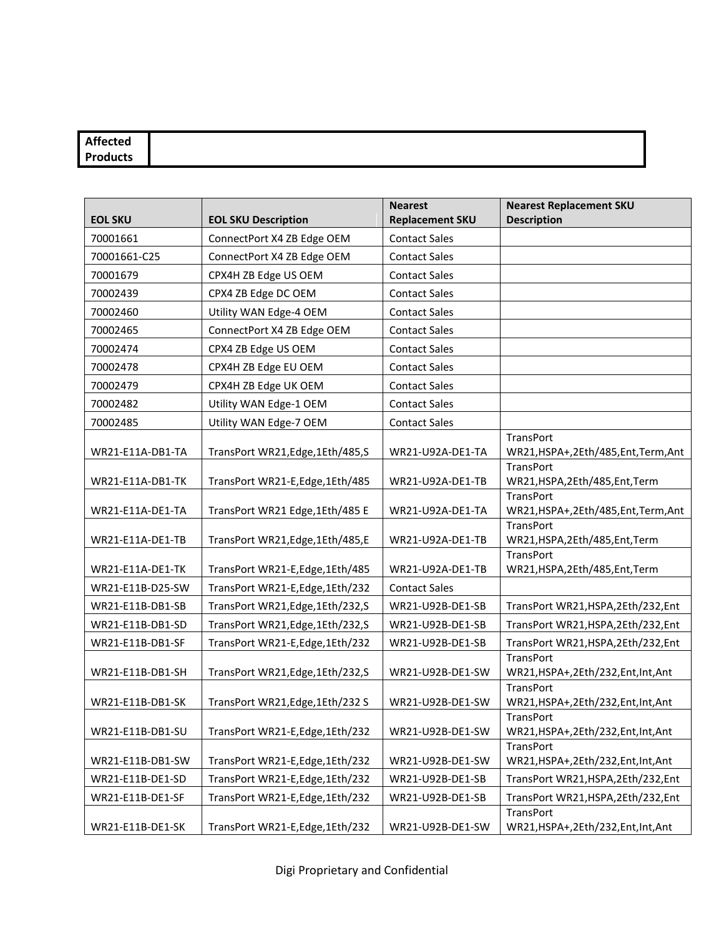| <b>Affected</b> |  |
|-----------------|--|
| Products        |  |

| <b>EOL SKU</b>   | <b>EOL SKU Description</b>        | <b>Nearest</b><br><b>Replacement SKU</b> | <b>Nearest Replacement SKU</b><br><b>Description</b> |
|------------------|-----------------------------------|------------------------------------------|------------------------------------------------------|
| 70001661         | ConnectPort X4 ZB Edge OEM        | <b>Contact Sales</b>                     |                                                      |
| 70001661-C25     | ConnectPort X4 ZB Edge OEM        | <b>Contact Sales</b>                     |                                                      |
| 70001679         | CPX4H ZB Edge US OEM              | <b>Contact Sales</b>                     |                                                      |
| 70002439         | CPX4 ZB Edge DC OEM               | <b>Contact Sales</b>                     |                                                      |
| 70002460         | Utility WAN Edge-4 OEM            | <b>Contact Sales</b>                     |                                                      |
| 70002465         | ConnectPort X4 ZB Edge OEM        | <b>Contact Sales</b>                     |                                                      |
| 70002474         | CPX4 ZB Edge US OEM               | <b>Contact Sales</b>                     |                                                      |
| 70002478         | CPX4H ZB Edge EU OEM              | <b>Contact Sales</b>                     |                                                      |
| 70002479         | CPX4H ZB Edge UK OEM              | <b>Contact Sales</b>                     |                                                      |
| 70002482         | Utility WAN Edge-1 OEM            | <b>Contact Sales</b>                     |                                                      |
| 70002485         | Utility WAN Edge-7 OEM            | <b>Contact Sales</b>                     |                                                      |
| WR21-E11A-DB1-TA | TransPort WR21, Edge, 1Eth/485, S | WR21-U92A-DE1-TA                         | TransPort<br>WR21,HSPA+,2Eth/485,Ent,Term,Ant        |
| WR21-E11A-DB1-TK | TransPort WR21-E, Edge, 1Eth/485  | WR21-U92A-DE1-TB                         | TransPort<br>WR21,HSPA,2Eth/485,Ent,Term             |
| WR21-E11A-DE1-TA | TransPort WR21 Edge, 1Eth/485 E   | WR21-U92A-DE1-TA                         | TransPort<br>WR21,HSPA+,2Eth/485,Ent,Term,Ant        |
| WR21-E11A-DE1-TB | TransPort WR21, Edge, 1Eth/485, E | WR21-U92A-DE1-TB                         | TransPort<br>WR21,HSPA,2Eth/485,Ent,Term             |
| WR21-E11A-DE1-TK | TransPort WR21-E, Edge, 1Eth/485  | WR21-U92A-DE1-TB                         | TransPort<br>WR21,HSPA,2Eth/485,Ent,Term             |
| WR21-E11B-D25-SW | TransPort WR21-E,Edge,1Eth/232    | <b>Contact Sales</b>                     |                                                      |
| WR21-E11B-DB1-SB | TransPort WR21, Edge, 1Eth/232, S | WR21-U92B-DE1-SB                         | TransPort WR21,HSPA,2Eth/232,Ent                     |
| WR21-E11B-DB1-SD | TransPort WR21, Edge, 1Eth/232, S | WR21-U92B-DE1-SB                         | TransPort WR21,HSPA,2Eth/232,Ent                     |
| WR21-E11B-DB1-SF | TransPort WR21-E, Edge, 1Eth/232  | WR21-U92B-DE1-SB                         | TransPort WR21,HSPA,2Eth/232,Ent                     |
| WR21-E11B-DB1-SH | TransPort WR21, Edge, 1Eth/232, S | WR21-U92B-DE1-SW                         | TransPort<br>WR21,HSPA+,2Eth/232,Ent,Int,Ant         |
| WR21-E11B-DB1-SK | TransPort WR21, Edge, 1Eth/232 S  | WR21-U92B-DE1-SW                         | TransPort<br>WR21,HSPA+,2Eth/232,Ent,Int,Ant         |
| WR21-E11B-DB1-SU | TransPort WR21-E,Edge,1Eth/232    | WR21-U92B-DE1-SW                         | <b>TransPort</b><br>WR21,HSPA+,2Eth/232,Ent,Int,Ant  |
| WR21-E11B-DB1-SW | TransPort WR21-E, Edge, 1Eth/232  | WR21-U92B-DE1-SW                         | TransPort<br>WR21,HSPA+,2Eth/232,Ent,Int,Ant         |
| WR21-E11B-DE1-SD | TransPort WR21-E,Edge,1Eth/232    | WR21-U92B-DE1-SB                         | TransPort WR21,HSPA,2Eth/232,Ent                     |
| WR21-E11B-DE1-SF | TransPort WR21-E, Edge, 1Eth/232  | WR21-U92B-DE1-SB                         | TransPort WR21,HSPA,2Eth/232,Ent                     |
| WR21-E11B-DE1-SK | TransPort WR21-E, Edge, 1Eth/232  | WR21-U92B-DE1-SW                         | TransPort<br>WR21,HSPA+,2Eth/232,Ent,Int,Ant         |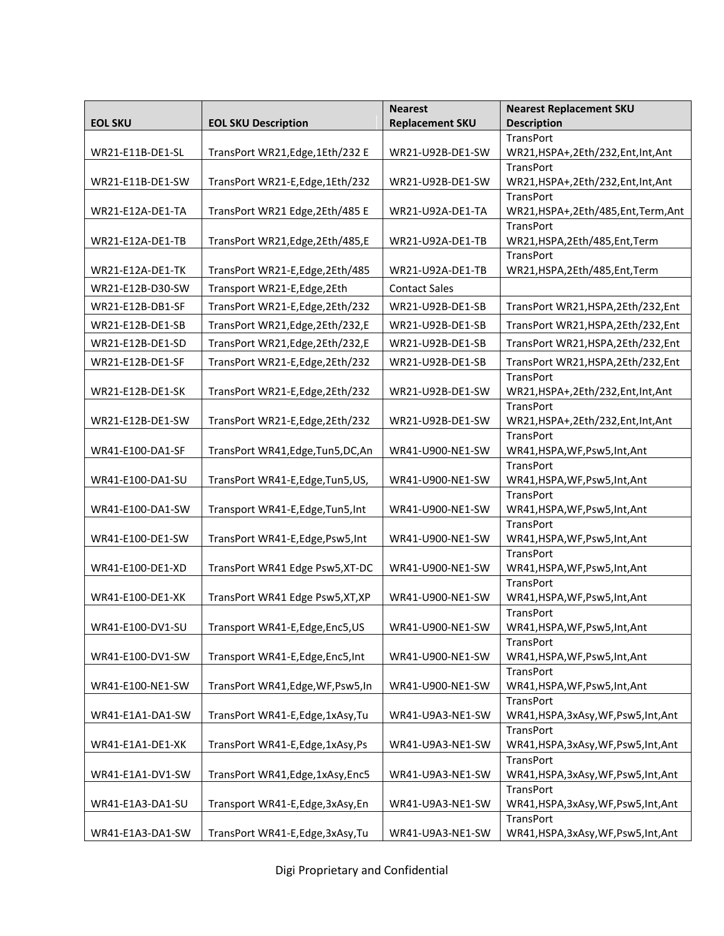|                  |                                    | <b>Nearest</b>         | <b>Nearest Replacement SKU</b>               |
|------------------|------------------------------------|------------------------|----------------------------------------------|
| <b>EOL SKU</b>   | <b>EOL SKU Description</b>         | <b>Replacement SKU</b> | <b>Description</b>                           |
|                  |                                    |                        | TransPort                                    |
| WR21-E11B-DE1-SL | TransPort WR21, Edge, 1Eth/232 E   | WR21-U92B-DE1-SW       | WR21,HSPA+,2Eth/232,Ent,Int,Ant              |
|                  |                                    |                        | TransPort                                    |
| WR21-E11B-DE1-SW | TransPort WR21-E, Edge, 1Eth/232   | WR21-U92B-DE1-SW       | WR21,HSPA+,2Eth/232,Ent,Int,Ant              |
|                  |                                    |                        | TransPort                                    |
| WR21-E12A-DE1-TA | TransPort WR21 Edge, 2Eth/485 E    | WR21-U92A-DE1-TA       | WR21,HSPA+,2Eth/485,Ent,Term,Ant             |
|                  |                                    |                        | TransPort                                    |
| WR21-E12A-DE1-TB | TransPort WR21, Edge, 2Eth/485, E  | WR21-U92A-DE1-TB       | WR21,HSPA,2Eth/485,Ent,Term<br>TransPort     |
| WR21-E12A-DE1-TK | TransPort WR21-E,Edge,2Eth/485     | WR21-U92A-DE1-TB       | WR21,HSPA,2Eth/485,Ent,Term                  |
|                  |                                    |                        |                                              |
| WR21-E12B-D30-SW | Transport WR21-E, Edge, 2Eth       | <b>Contact Sales</b>   |                                              |
| WR21-E12B-DB1-SF | TransPort WR21-E,Edge,2Eth/232     | WR21-U92B-DE1-SB       | TransPort WR21,HSPA,2Eth/232,Ent             |
| WR21-E12B-DE1-SB | TransPort WR21, Edge, 2Eth/232, E  | WR21-U92B-DE1-SB       | TransPort WR21,HSPA,2Eth/232,Ent             |
| WR21-E12B-DE1-SD | TransPort WR21, Edge, 2Eth/232, E  | WR21-U92B-DE1-SB       | TransPort WR21,HSPA,2Eth/232,Ent             |
| WR21-E12B-DE1-SF | TransPort WR21-E, Edge, 2Eth/232   | WR21-U92B-DE1-SB       | TransPort WR21,HSPA,2Eth/232,Ent             |
|                  |                                    |                        | <b>TransPort</b>                             |
| WR21-E12B-DE1-SK | TransPort WR21-E,Edge,2Eth/232     | WR21-U92B-DE1-SW       | WR21,HSPA+,2Eth/232,Ent,Int,Ant              |
|                  |                                    |                        | TransPort                                    |
| WR21-E12B-DE1-SW | TransPort WR21-E, Edge, 2Eth/232   | WR21-U92B-DE1-SW       | WR21,HSPA+,2Eth/232,Ent,Int,Ant              |
|                  |                                    |                        | TransPort                                    |
| WR41-E100-DA1-SF | TransPort WR41, Edge, Tun5, DC, An | WR41-U900-NE1-SW       | WR41,HSPA,WF,Psw5,Int,Ant                    |
|                  |                                    |                        | TransPort                                    |
| WR41-E100-DA1-SU | TransPort WR41-E, Edge, Tun5, US,  | WR41-U900-NE1-SW       | WR41,HSPA,WF,Psw5,Int,Ant                    |
|                  |                                    |                        | TransPort                                    |
| WR41-E100-DA1-SW | Transport WR41-E, Edge, Tun5, Int  | WR41-U900-NE1-SW       | WR41,HSPA,WF,Psw5,Int,Ant                    |
| WR41-E100-DE1-SW | TransPort WR41-E,Edge,Psw5,Int     | WR41-U900-NE1-SW       | TransPort<br>WR41,HSPA,WF,Psw5,Int,Ant       |
|                  |                                    |                        | TransPort                                    |
| WR41-E100-DE1-XD | TransPort WR41 Edge Psw5, XT-DC    | WR41-U900-NE1-SW       | WR41,HSPA,WF,Psw5,Int,Ant                    |
|                  |                                    |                        | TransPort                                    |
| WR41-E100-DE1-XK | TransPort WR41 Edge Psw5, XT, XP   | WR41-U900-NE1-SW       | WR41,HSPA,WF,Psw5,Int,Ant                    |
|                  |                                    |                        | TransPort                                    |
| WR41-E100-DV1-SU | Transport WR41-E, Edge, Enc5, US   | WR41-U900-NE1-SW       | WR41,HSPA,WF,Psw5,Int,Ant                    |
|                  |                                    |                        | TransPort                                    |
| WR41-E100-DV1-SW | Transport WR41-E, Edge, Enc5, Int  | WR41-U900-NE1-SW       | WR41,HSPA,WF,Psw5,Int,Ant                    |
|                  |                                    |                        | TransPort                                    |
| WR41-E100-NE1-SW | TransPort WR41, Edge, WF, Psw5, In | WR41-U900-NE1-SW       | WR41,HSPA,WF,Psw5,Int,Ant                    |
|                  |                                    |                        | TransPort                                    |
| WR41-E1A1-DA1-SW | TransPort WR41-E, Edge, 1xAsy, Tu  | WR41-U9A3-NE1-SW       | WR41,HSPA,3xAsy,WF,Psw5,Int,Ant              |
|                  |                                    |                        | TransPort                                    |
| WR41-E1A1-DE1-XK | TransPort WR41-E, Edge, 1xAsy, Ps  | WR41-U9A3-NE1-SW       | WR41,HSPA,3xAsy,WF,Psw5,Int,Ant              |
| WR41-E1A1-DV1-SW | TransPort WR41, Edge, 1xAsy, Enc5  | WR41-U9A3-NE1-SW       | TransPort<br>WR41,HSPA,3xAsy,WF,Psw5,Int,Ant |
|                  |                                    |                        | TransPort                                    |
| WR41-E1A3-DA1-SU | Transport WR41-E, Edge, 3xAsy, En  | WR41-U9A3-NE1-SW       | WR41,HSPA,3xAsy,WF,Psw5,Int,Ant              |
|                  |                                    |                        | TransPort                                    |
| WR41-E1A3-DA1-SW | TransPort WR41-E, Edge, 3xAsy, Tu  | WR41-U9A3-NE1-SW       | WR41,HSPA,3xAsy,WF,Psw5,Int,Ant              |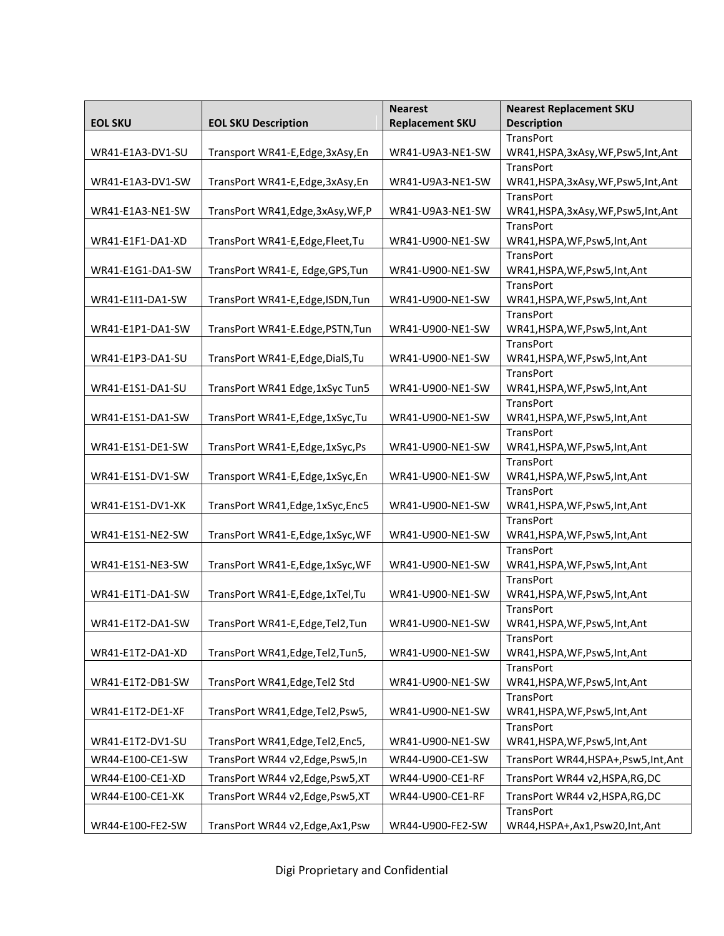| <b>EOL SKU Description</b><br><b>Replacement SKU</b><br><b>Description</b><br><b>EOL SKU</b><br>TransPort<br>Transport WR41-E, Edge, 3xAsy, En<br>WR41-U9A3-NE1-SW<br>WR41,HSPA,3xAsy,WF,Psw5,Int,Ant<br>WR41-E1A3-DV1-SU |
|---------------------------------------------------------------------------------------------------------------------------------------------------------------------------------------------------------------------------|
|                                                                                                                                                                                                                           |
|                                                                                                                                                                                                                           |
|                                                                                                                                                                                                                           |
| TransPort                                                                                                                                                                                                                 |
| WR41-E1A3-DV1-SW<br>TransPort WR41-E, Edge, 3xAsy, En<br>WR41-U9A3-NE1-SW<br>WR41,HSPA,3xAsy,WF,Psw5,Int,Ant                                                                                                              |
| <b>TransPort</b>                                                                                                                                                                                                          |
| TransPort WR41, Edge, 3xAsy, WF, P<br>WR41-U9A3-NE1-SW<br>WR41-E1A3-NE1-SW<br>WR41,HSPA,3xAsy,WF,Psw5,Int,Ant                                                                                                             |
| TransPort                                                                                                                                                                                                                 |
| TransPort WR41-E,Edge,Fleet,Tu<br>WR41-E1F1-DA1-XD<br>WR41-U900-NE1-SW<br>WR41,HSPA,WF,Psw5,Int,Ant                                                                                                                       |
| TransPort                                                                                                                                                                                                                 |
| WR41-E1G1-DA1-SW<br>TransPort WR41-E, Edge, GPS, Tun<br>WR41-U900-NE1-SW<br>WR41,HSPA,WF,Psw5,Int,Ant                                                                                                                     |
| <b>TransPort</b>                                                                                                                                                                                                          |
| TransPort WR41-E,Edge,ISDN,Tun<br>WR41-U900-NE1-SW<br>WR41-E1I1-DA1-SW<br>WR41,HSPA,WF,Psw5,Int,Ant                                                                                                                       |
| TransPort                                                                                                                                                                                                                 |
| TransPort WR41-E.Edge,PSTN,Tun<br>WR41-E1P1-DA1-SW<br>WR41-U900-NE1-SW<br>WR41,HSPA,WF,Psw5,Int,Ant                                                                                                                       |
| <b>TransPort</b>                                                                                                                                                                                                          |
| WR41-E1P3-DA1-SU<br>TransPort WR41-E,Edge,DialS,Tu<br>WR41-U900-NE1-SW<br>WR41,HSPA,WF,Psw5,Int,Ant                                                                                                                       |
| TransPort<br>WR41-E1S1-DA1-SU<br>WR41-U900-NE1-SW                                                                                                                                                                         |
| TransPort WR41 Edge, 1xSyc Tun5<br>WR41,HSPA,WF,Psw5,Int,Ant<br>TransPort                                                                                                                                                 |
| TransPort WR41-E, Edge, 1xSyc, Tu<br>WR41-E1S1-DA1-SW<br>WR41-U900-NE1-SW                                                                                                                                                 |
| WR41,HSPA,WF,Psw5,Int,Ant<br>TransPort                                                                                                                                                                                    |
| TransPort WR41-E, Edge, 1xSyc, Ps<br>WR41-E1S1-DE1-SW<br>WR41-U900-NE1-SW<br>WR41,HSPA,WF,Psw5,Int,Ant                                                                                                                    |
| TransPort                                                                                                                                                                                                                 |
| Transport WR41-E, Edge, 1xSyc, En<br>WR41-E1S1-DV1-SW<br>WR41-U900-NE1-SW<br>WR41,HSPA,WF,Psw5,Int,Ant                                                                                                                    |
| <b>TransPort</b>                                                                                                                                                                                                          |
| TransPort WR41, Edge, 1xSyc, Enc5<br>WR41-U900-NE1-SW<br>WR41-E1S1-DV1-XK<br>WR41,HSPA,WF,Psw5,Int,Ant                                                                                                                    |
| <b>TransPort</b>                                                                                                                                                                                                          |
| TransPort WR41-E,Edge,1xSyc,WF<br>WR41-U900-NE1-SW<br>WR41,HSPA,WF,Psw5,Int,Ant<br>WR41-E1S1-NE2-SW                                                                                                                       |
| TransPort                                                                                                                                                                                                                 |
| WR41-E1S1-NE3-SW<br>TransPort WR41-E,Edge,1xSyc,WF<br>WR41-U900-NE1-SW<br>WR41,HSPA,WF,Psw5,Int,Ant                                                                                                                       |
| TransPort                                                                                                                                                                                                                 |
| WR41-E1T1-DA1-SW<br>TransPort WR41-E, Edge, 1xTel, Tu<br>WR41-U900-NE1-SW<br>WR41,HSPA,WF,Psw5,Int,Ant                                                                                                                    |
| TransPort                                                                                                                                                                                                                 |
| TransPort WR41-E, Edge, Tel2, Tun<br>WR41-U900-NE1-SW<br>WR41,HSPA,WF,Psw5,Int,Ant<br>WR41-E1T2-DA1-SW                                                                                                                    |
| TransPort                                                                                                                                                                                                                 |
| WR41-E1T2-DA1-XD<br>TransPort WR41, Edge, Tel2, Tun5,<br>WR41-U900-NE1-SW<br>WR41,HSPA,WF,Psw5,Int,Ant                                                                                                                    |
| TransPort                                                                                                                                                                                                                 |
| WR41-E1T2-DB1-SW<br>TransPort WR41, Edge, Tel2 Std<br>WR41-U900-NE1-SW<br>WR41,HSPA,WF,Psw5,Int,Ant                                                                                                                       |
| <b>TransPort</b>                                                                                                                                                                                                          |
| TransPort WR41, Edge, Tel2, Psw5,<br>WR41,HSPA,WF,Psw5,Int,Ant<br>WR41-E1T2-DE1-XF<br>WR41-U900-NE1-SW                                                                                                                    |
| TransPort                                                                                                                                                                                                                 |
| WR41-E1T2-DV1-SU<br>TransPort WR41, Edge, Tel2, Enc5,<br>WR41-U900-NE1-SW<br>WR41,HSPA,WF,Psw5,Int,Ant                                                                                                                    |
| WR44-E100-CE1-SW<br>TransPort WR44 v2, Edge, Psw5, In<br>WR44-U900-CE1-SW<br>TransPort WR44, HSPA+, Psw5, Int, Ant                                                                                                        |
| WR44-E100-CE1-XD<br>TransPort WR44 v2, Edge, Psw5, XT<br>WR44-U900-CE1-RF<br>TransPort WR44 v2,HSPA,RG,DC                                                                                                                 |
| TransPort WR44 v2, Edge, Psw5, XT<br>TransPort WR44 v2,HSPA,RG,DC<br>WR44-E100-CE1-XK<br>WR44-U900-CE1-RF                                                                                                                 |
| TransPort                                                                                                                                                                                                                 |
| WR44, HSPA+, Ax1, Psw20, Int, Ant<br>WR44-E100-FE2-SW<br>TransPort WR44 v2, Edge, Ax1, Psw<br>WR44-U900-FE2-SW                                                                                                            |